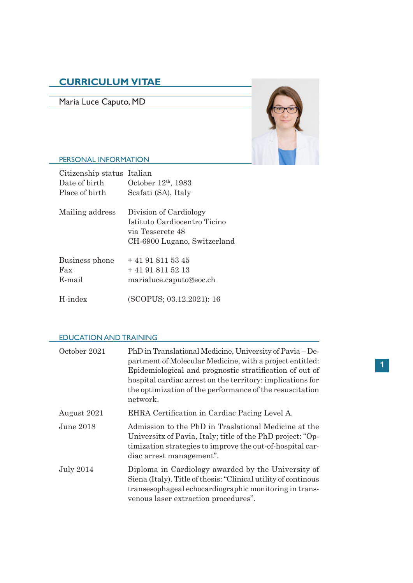## **CURRICULUM VITAE**

# Maria Luce Caputo, MD



### PERSONAL INFORMATION

| Citizenship status Italian      |                                                                                                           |
|---------------------------------|-----------------------------------------------------------------------------------------------------------|
| Date of birth                   | October $12th$ , 1983                                                                                     |
| Place of birth                  | Scafati (SA), Italy                                                                                       |
| Mailing address                 | Division of Cardiology<br>Istituto Cardiocentro Ticino<br>via Tesserete 48<br>CH-6900 Lugano, Switzerland |
| Business phone<br>Fax<br>E-mail | + 41 91 811 53 45<br>+ 41 91 811 52 13<br>marialuce.caputo@eoc.ch                                         |
| H-index                         | (SCOPUS; 03.12.2021): 16                                                                                  |

## EDUCATION AND TRAINING

| October 2021     | PhD in Translational Medicine, University of Pavia – De-<br>partment of Molecular Medicine, with a project entitled:<br>Epidemiological and prognostic stratification of out of<br>hospital cardiac arrest on the territory: implications for<br>the optimization of the performance of the resuscitation<br>network. |
|------------------|-----------------------------------------------------------------------------------------------------------------------------------------------------------------------------------------------------------------------------------------------------------------------------------------------------------------------|
| August 2021      | EHRA Certification in Cardiac Pacing Level A.                                                                                                                                                                                                                                                                         |
| June $2018$      | Admission to the PhD in Traslational Medicine at the<br>University of Pavia, Italy; title of the PhD project: "Op-<br>timization strategies to improve the out-of-hospital car-<br>diac arrest management".                                                                                                           |
| <b>July 2014</b> | Diploma in Cardiology awarded by the University of<br>Siena (Italy). Title of thesis: "Clinical utility of continous<br>transesophageal echocardiographic monitoring in trans-<br>venous laser extraction procedures".                                                                                                |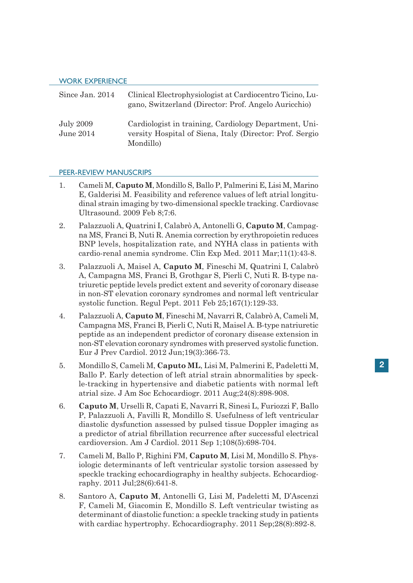#### WORK EXPERIENCE

| Since Jan. 2014          | Clinical Electrophysiologist at Cardiocentro Ticino, Lu-<br>gano, Switzerland (Director: Prof. Angelo Auricchio)               |
|--------------------------|--------------------------------------------------------------------------------------------------------------------------------|
| July 2009<br>June $2014$ | Cardiologist in training, Cardiology Department, Uni-<br>versity Hospital of Siena, Italy (Director: Prof. Sergio<br>Mondillo) |

#### PEER-REVIEW MANUSCRIPS

- 1. Cameli M, **Caputo M**, Mondillo S, Ballo P, Palmerini E, Lisi M, Marino E, Galderisi M. Feasibility and reference values of left atrial longitudinal strain imaging by two-dimensional speckle tracking. Cardiovasc Ultrasound. 2009 Feb 8;7:6.
- 2. Palazzuoli A, Quatrini I, Calabrò A, Antonelli G, **Caputo M**, Campagna MS, Franci B, Nuti R. Anemia correction by erythropoietin reduces BNP levels, hospitalization rate, and NYHA class in patients with cardio-renal anemia syndrome. Clin Exp Med. 2011 Mar;11(1):43-8.
- 3. Palazzuoli A, Maisel A, **Caputo M**, Fineschi M, Quatrini I, Calabrò A, Campagna MS, Franci B, Grothgar S, Pierli C, Nuti R. B-type natriuretic peptide levels predict extent and severity of coronary disease in non-ST elevation coronary syndromes and normal left ventricular systolic function. Regul Pept. 2011 Feb 25;167(1):129-33.
- 4. Palazzuoli A, **Caputo M**, Fineschi M, Navarri R, Calabrò A, Cameli M, Campagna MS, Franci B, Pierli C, Nuti R, Maisel A. B-type natriuretic peptide as an independent predictor of coronary disease extension in non-ST elevation coronary syndromes with preserved systolic function. Eur J Prev Cardiol. 2012 Jun;19(3):366-73.
- 5. Mondillo S, Cameli M, **Caputo ML**, Lisi M, Palmerini E, Padeletti M, Ballo P. Early detection of left atrial strain abnormalities by speckle-tracking in hypertensive and diabetic patients with normal left atrial size. J Am Soc Echocardiogr. 2011 Aug;24(8):898-908.
- 6. **Caputo M**, Urselli R, Capati E, Navarri R, Sinesi L, Furiozzi F, Ballo P, Palazzuoli A, Favilli R, Mondillo S. Usefulness of left ventricular diastolic dysfunction assessed by pulsed tissue Doppler imaging as a predictor of atrial fibrillation recurrence after successful electrical cardioversion. Am J Cardiol. 2011 Sep 1;108(5):698-704.
- 7. Cameli M, Ballo P, Righini FM, **Caputo M**, Lisi M, Mondillo S. Physiologic determinants of left ventricular systolic torsion assessed by speckle tracking echocardiography in healthy subjects. Echocardiography. 2011 Jul;28(6):641-8.
- 8. Santoro A, **Caputo M**, Antonelli G, Lisi M, Padeletti M, D'Ascenzi F, Cameli M, Giacomin E, Mondillo S. Left ventricular twisting as determinant of diastolic function: a speckle tracking study in patients with cardiac hypertrophy. Echocardiography. 2011 Sep;28(8):892-8.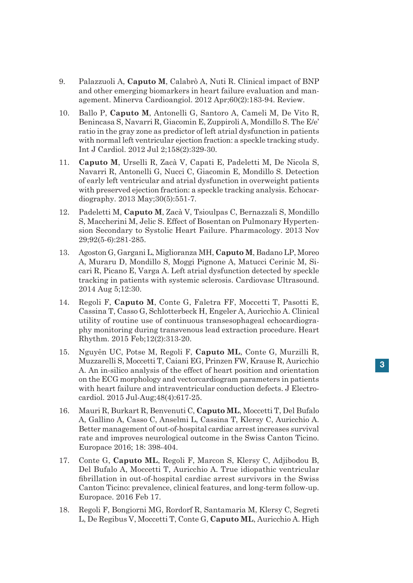- 9. Palazzuoli A, **Caputo M**, Calabrò A, Nuti R. Clinical impact of BNP and other emerging biomarkers in heart failure evaluation and management. Minerva Cardioangiol. 2012 Apr;60(2):183-94. Review.
- 10. Ballo P, **Caputo M**, Antonelli G, Santoro A, Cameli M, De Vito R, Benincasa S, Navarri R, Giacomin E, Zuppiroli A, Mondillo S. The E/e' ratio in the gray zone as predictor of left atrial dysfunction in patients with normal left ventricular ejection fraction: a speckle tracking study. Int J Cardiol. 2012 Jul 2;158(2):329-30.
- 11. **Caputo M**, Urselli R, Zacà V, Capati E, Padeletti M, De Nicola S, Navarri R, Antonelli G, Nucci C, Giacomin E, Mondillo S. Detection of early left ventricular and atrial dysfunction in overweight patients with preserved ejection fraction: a speckle tracking analysis. Echocardiography. 2013 May;30(5):551-7.
- 12. Padeletti M, **Caputo M**, Zacà V, Tsioulpas C, Bernazzali S, Mondillo S, Maccherini M, Jelic S. Effect of Bosentan on Pulmonary Hypertension Secondary to Systolic Heart Failure. Pharmacology. 2013 Nov 29;92(5-6):281-285.
- 13. Agoston G, Gargani L, Miglioranza MH, **Caputo M**, Badano LP, Moreo A, Muraru D, Mondillo S, Moggi Pignone A, Matucci Cerinic M, Sicari R, Picano E, Varga A. Left atrial dysfunction detected by speckle tracking in patients with systemic sclerosis. Cardiovasc Ultrasound. 2014 Aug 5;12:30.
- 14. Regoli F, **Caputo M**, Conte G, Faletra FF, Moccetti T, Pasotti E, Cassina T, Casso G, Schlotterbeck H, Engeler A, Auricchio A. Clinical utility of routine use of continuous transesophageal echocardiography monitoring during transvenous lead extraction procedure. Heart Rhythm. 2015 Feb;12(2):313-20.
- 15. Nguyên UC, Potse M, Regoli F, **Caputo ML**, Conte G, Murzilli R, Muzzarelli S, Moccetti T, Caiani EG, Prinzen FW, Krause R, Auricchio A. An in-silico analysis of the effect of heart position and orientation on the ECG morphology and vectorcardiogram parameters in patients with heart failure and intraventricular conduction defects. J Electrocardiol. 2015 Jul-Aug;48(4):617-25.
- 16. Mauri R, Burkart R, Benvenuti C, **Caputo ML**, Moccetti T, Del Bufalo A, Gallino A, Casso C, Anselmi L, Cassina T, Klersy C, Auricchio A. Better management of out-of-hospital cardiac arrest increases survival rate and improves neurological outcome in the Swiss Canton Ticino. Europace 2016; 18: 398-404.
- 17. Conte G, **Caputo ML**, Regoli F, Marcon S, Klersy C, Adjibodou B, Del Bufalo A, Moccetti T, Auricchio A. True idiopathic ventricular fibrillation in out-of-hospital cardiac arrest survivors in the Swiss Canton Ticino: prevalence, clinical features, and long-term follow-up. Europace. 2016 Feb 17.
- 18. Regoli F, Bongiorni MG, Rordorf R, Santamaria M, Klersy C, Segreti L, De Regibus V, Moccetti T, Conte G, **Caputo ML**, Auricchio A. High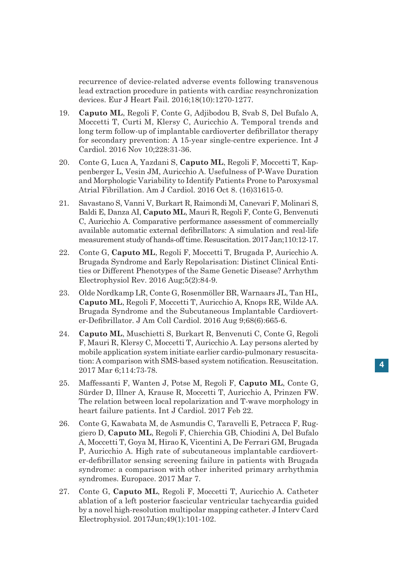recurrence of device-related adverse events following transvenous lead extraction procedure in patients with cardiac resynchronization devices. Eur J Heart Fail. 2016;18(10):1270-1277.

- 19. **Caputo ML**, Regoli F, Conte G, Adjibodou B, Svab S, Del Bufalo A, Moccetti T, Curti M, Klersy C, Auricchio A. Temporal trends and long term follow-up of implantable cardioverter defibrillator therapy for secondary prevention: A 15-year single-centre experience. Int J Cardiol. 2016 Nov 10;228:31-36.
- 20. Conte G, Luca A, Yazdani S, **Caputo ML**, Regoli F, Moccetti T, Kappenberger L, Vesin JM, Auricchio A. Usefulness of P-Wave Duration and Morphologic Variability to Identify Patients Prone to Paroxysmal Atrial Fibrillation. Am J Cardiol. 2016 Oct 8. (16)31615-0.
- 21. Savastano S, Vanni V, Burkart R, Raimondi M, Canevari F, Molinari S, Baldi E, Danza AI, **Caputo ML**, Mauri R, Regoli F, Conte G, Benvenuti C, Auricchio A. Comparative performance assessment of commercially available automatic external defibrillators: A simulation and real-life measurement study of hands-off time. Resuscitation. 2017 Jan;110:12-17.
- 22. Conte G, **Caputo ML**, Regoli F, Moccetti T, Brugada P, Auricchio A. Brugada Syndrome and Early Repolarisation: Distinct Clinical Entities or Different Phenotypes of the Same Genetic Disease? Arrhythm Electrophysiol Rev. 2016 Aug;5(2):84-9.
- 23. Olde Nordkamp LR, Conte G, Rosenmöller BR, Warnaars JL, Tan HL, **Caputo ML**, Regoli F, Moccetti T, Auricchio A, Knops RE, Wilde AA. Brugada Syndrome and the Subcutaneous Implantable Cardioverter-Defibrillator. J Am Coll Cardiol. 2016 Aug 9;68(6):665-6.
- 24. **Caputo ML**, Muschietti S, Burkart R, Benvenuti C, Conte G, Regoli F, Mauri R, Klersy C, Moccetti T, Auricchio A. Lay persons alerted by mobile application system initiate earlier cardio-pulmonary resuscitation: A comparison with SMS-based system notification. Resuscitation. 2017 Mar 6;114:73-78.
- 25. Maffessanti F, Wanten J, Potse M, Regoli F, **Caputo ML**, Conte G, Sürder D, Illner A, Krause R, Moccetti T, Auricchio A, Prinzen FW. The relation between local repolarization and T-wave morphology in heart failure patients. Int J Cardiol. 2017 Feb 22.
- 26. Conte G, Kawabata M, de Asmundis C, Taravelli E, Petracca F, Ruggiero D, **Caputo ML**, Regoli F, Chierchia GB, Chiodini A, Del Bufalo A, Moccetti T, Goya M, Hirao K, Vicentini A, De Ferrari GM, Brugada P, Auricchio A. High rate of subcutaneous implantable cardioverter-defibrillator sensing screening failure in patients with Brugada syndrome: a comparison with other inherited primary arrhythmia syndromes. Europace. 2017 Mar 7.
- 27. Conte G, **Caputo ML**, Regoli F, Moccetti T, Auricchio A. Catheter ablation of a left posterior fascicular ventricular tachycardia guided by a novel high-resolution multipolar mapping catheter. J Interv Card Electrophysiol. 2017Jun;49(1):101-102.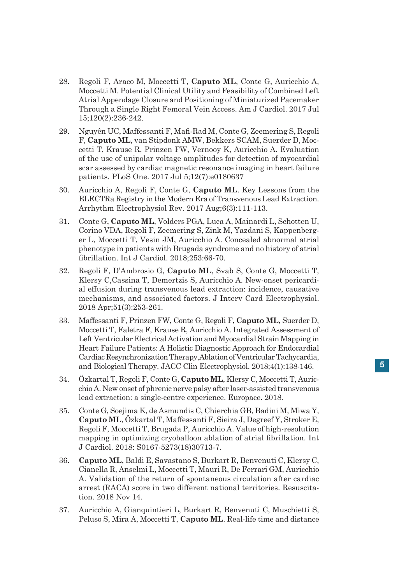- 28. Regoli F, Araco M, Moccetti T, **Caputo ML**, Conte G, Auricchio A, Moccetti M. Potential Clinical Utility and Feasibility of Combined Left Atrial Appendage Closure and Positioning of Miniaturized Pacemaker Through a Single Right Femoral Vein Access. Am J Cardiol. 2017 Jul 15;120(2):236-242.
- 29. Nguyên UC, Maffessanti F, Mafi-Rad M, Conte G, Zeemering S, Regoli F, **Caputo ML**, van Stipdonk AMW, Bekkers SCAM, Suerder D, Moccetti T, Krause R, Prinzen FW, Vernooy K, Auricchio A. Evaluation of the use of unipolar voltage amplitudes for detection of myocardial scar assessed by cardiac magnetic resonance imaging in heart failure patients. PLoS One. 2017 Jul 5;12(7):e0180637
- 30. Auricchio A, Regoli F, Conte G, **Caputo ML**. Key Lessons from the ELECTRa Registry in the Modern Era of Transvenous Lead Extraction. Arrhythm Electrophysiol Rev. 2017 Aug;6(3):111-113.
- 31. Conte G, **Caputo ML**, Volders PGA, Luca A, Mainardi L, Schotten U, Corino VDA, Regoli F, Zeemering S, Zink M, Yazdani S, Kappenberger L, Moccetti T, Vesin JM, Auricchio A. Concealed abnormal atrial phenotype in patients with Brugada syndrome and no history of atrial fibrillation. Int J Cardiol. 2018;253:66-70.
- 32. Regoli F, D'Ambrosio G, **Caputo ML**, Svab S, Conte G, Moccetti T, Klersy C,Cassina T, Demertzis S, Auricchio A. New-onset pericardial effusion during transvenous lead extraction: incidence, causative mechanisms, and associated factors. J Interv Card Electrophysiol. 2018 Apr;51(3):253-261.
- 33. Maffessanti F, Prinzen FW, Conte G, Regoli F, **Caputo ML**, Suerder D, Moccetti T, Faletra F, Krause R, Auricchio A. Integrated Assessment of Left Ventricular Electrical Activation and Myocardial Strain Mapping in Heart Failure Patients: A Holistic Diagnostic Approach for Endocardial Cardiac Resynchronization Therapy,Ablation of Ventricular Tachycardia, and Biological Therapy. JACC Clin Electrophysiol. 2018;4(1):138-146.
- 34. Özkartal T, Regoli F, Conte G, **Caputo ML**, Klersy C, Moccetti T, Auricchio A. New onset of phrenic nerve palsy after laser-assisted transvenous lead extraction: a single-centre experience. Europace. 2018.
- 35. Conte G, Soejima K, de Asmundis C, Chierchia GB, Badini M, Miwa Y, **Caputo ML**, Özkartal T, Maffessanti F, Sieira J, Degreef Y, Stroker E, Regoli F, Moccetti T, Brugada P, Auricchio A. Value of high-resolution mapping in optimizing cryoballoon ablation of atrial fibrillation. Int J Cardiol. 2018: S0167-5273(18)30713-7.
- 36. **Caputo ML**, Baldi E, Savastano S, Burkart R, Benvenuti C, Klersy C, Cianella R, Anselmi L, Moccetti T, Mauri R, De Ferrari GM, Auricchio A. Validation of the return of spontaneous circulation after cardiac arrest (RACA) score in two different national territories. Resuscitation. 2018 Nov 14.
- 37. Auricchio A, Gianquintieri L, Burkart R, Benvenuti C, Muschietti S, Peluso S, Mira A, Moccetti T, **Caputo ML**. Real-life time and distance